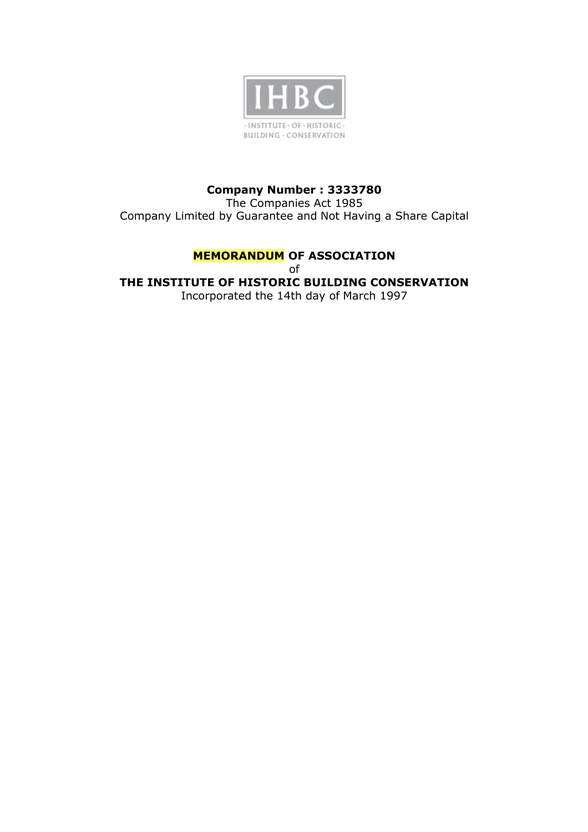

## **Company Number : 3333780**

The Companies Act 1985 Company Limited by Guarantee and Not Having a Share Capital

## **MEMORANDUM OF ASSOCIATION**

of **THE INSTITUTE OF HISTORIC BUILDING CONSERVATION** Incorporated the 14th day of March 1997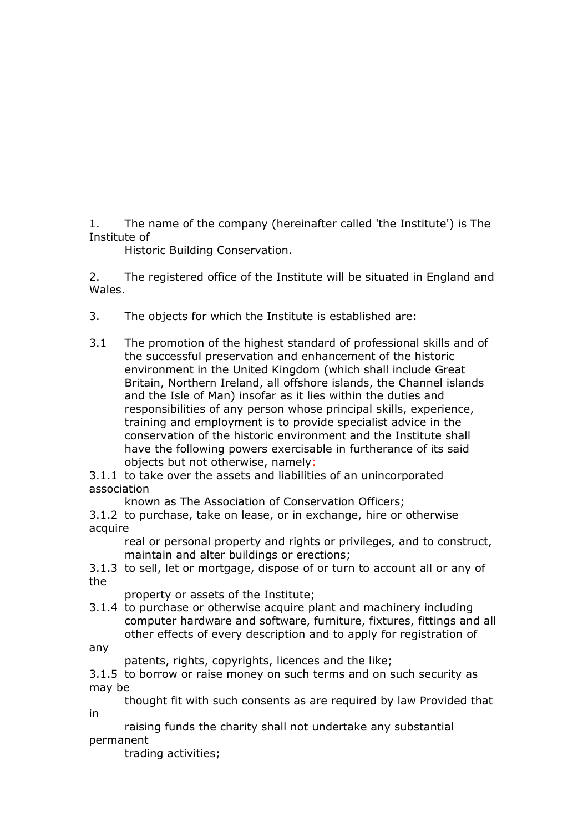1. The name of the company (hereinafter called 'the Institute') is The Institute of

Historic Building Conservation.

2. The registered office of the Institute will be situated in England and Wales.

- 3. The objects for which the Institute is established are:
- 3.1 The promotion of the highest standard of professional skills and of the successful preservation and enhancement of the historic environment in the United Kingdom (which shall include Great Britain, Northern Ireland, all offshore islands, the Channel islands and the Isle of Man) insofar as it lies within the duties and responsibilities of any person whose principal skills, experience, training and employment is to provide specialist advice in the conservation of the historic environment and the Institute shall have the following powers exercisable in furtherance of its said objects but not otherwise, namely:

3.1.1 to take over the assets and liabilities of an unincorporated association

known as The Association of Conservation Officers;

3.1.2 to purchase, take on lease, or in exchange, hire or otherwise acquire

real or personal property and rights or privileges, and to construct, maintain and alter buildings or erections;

3.1.3 to sell, let or mortgage, dispose of or turn to account all or any of the

property or assets of the Institute;

3.1.4 to purchase or otherwise acquire plant and machinery including computer hardware and software, furniture, fixtures, fittings and all other effects of every description and to apply for registration of

any

patents, rights, copyrights, licences and the like;

3.1.5 to borrow or raise money on such terms and on such security as may be

thought fit with such consents as are required by law Provided that in

raising funds the charity shall not undertake any substantial permanent

trading activities;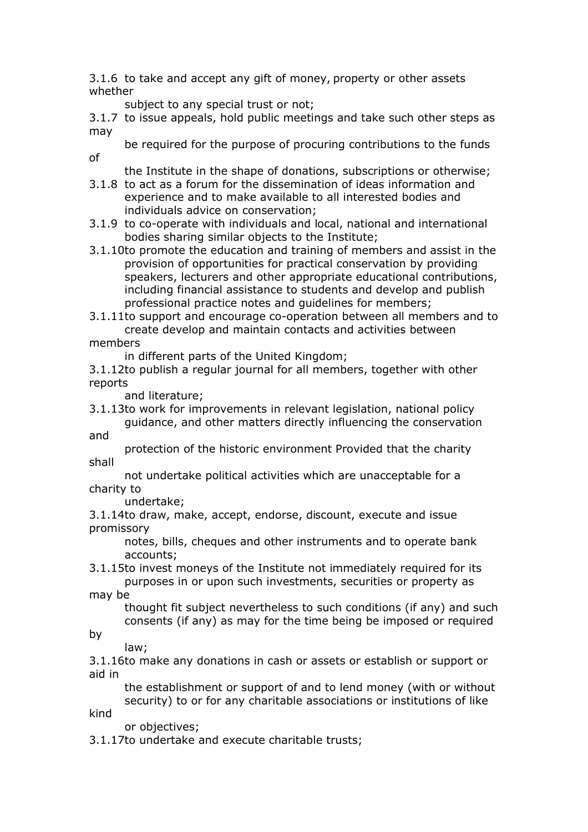3.1.6 to take and accept any gift of money, property or other assets whether

subject to any special trust or not:

3.1.7 to issue appeals, hold public meetings and take such other steps as may

be required for the purpose of procuring contributions to the funds of

the Institute in the shape of donations, subscriptions or otherwise;

- 3.1.8 to act as a forum for the dissemination of ideas information and experience and to make available to all interested bodies and individuals advice on conservation;
- 3.1.9 to co-operate with individuals and local, national and international bodies sharing similar objects to the Institute;
- 3.1.10to promote the education and training of members and assist in the provision of opportunities for practical conservation by providing speakers, lecturers and other appropriate educational contributions, including financial assistance to students and develop and publish professional practice notes and guidelines for members;

3.1.11to support and encourage co-operation between all members and to create develop and maintain contacts and activities between members

in different parts of the United Kingdom;

3.1.12to publish a regular journal for all members, together with other reports

and literature;

3.1.13to work for improvements in relevant legislation, national policy guidance, and other matters directly influencing the conservation

and

protection of the historic environment Provided that the charity shall

not undertake political activities which are unacceptable for a charity to

undertake;

3.1.14to draw, make, accept, endorse, discount, execute and issue promissory

notes, bills, cheques and other instruments and to operate bank accounts;

3.1.15to invest moneys of the Institute not immediately required for its purposes in or upon such investments, securities or property as

may be

thought fit subject nevertheless to such conditions (if any) and such consents (if any) as may for the time being be imposed or required

by

law;

3.1.16to make any donations in cash or assets or establish or support or aid in

the establishment or support of and to lend money (with or without security) to or for any charitable associations or institutions of like

kind

or objectives;

3.1.17to undertake and execute charitable trusts;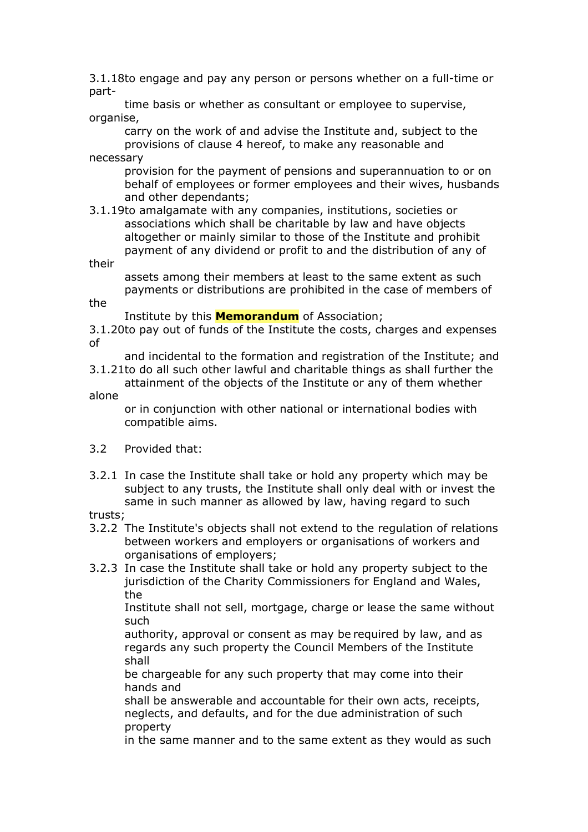3.1.18to engage and pay any person or persons whether on a full-time or part-

time basis or whether as consultant or employee to supervise, organise,

carry on the work of and advise the Institute and, subject to the provisions of clause 4 hereof, to make any reasonable and necessary

provision for the payment of pensions and superannuation to or on behalf of employees or former employees and their wives, husbands and other dependants;

3.1.19to amalgamate with any companies, institutions, societies or associations which shall be charitable by law and have objects altogether or mainly similar to those of the Institute and prohibit payment of any dividend or profit to and the distribution of any of

their

assets among their members at least to the same extent as such payments or distributions are prohibited in the case of members of

the

Institute by this **Memorandum** of Association;

3.1.20to pay out of funds of the Institute the costs, charges and expenses of

and incidental to the formation and registration of the Institute; and 3.1.21to do all such other lawful and charitable things as shall further the

attainment of the objects of the Institute or any of them whether alone

or in conjunction with other national or international bodies with compatible aims.

- 3.2 Provided that:
- 3.2.1 In case the Institute shall take or hold any property which may be subject to any trusts, the Institute shall only deal with or invest the same in such manner as allowed by law, having regard to such

trusts;

- 3.2.2 The Institute's objects shall not extend to the regulation of relations between workers and employers or organisations of workers and organisations of employers;
- 3.2.3 In case the Institute shall take or hold any property subject to the jurisdiction of the Charity Commissioners for England and Wales, the

Institute shall not sell, mortgage, charge or lease the same without such

authority, approval or consent as may be required by law, and as regards any such property the Council Members of the Institute shall

be chargeable for any such property that may come into their hands and

shall be answerable and accountable for their own acts, receipts, neglects, and defaults, and for the due administration of such property

in the same manner and to the same extent as they would as such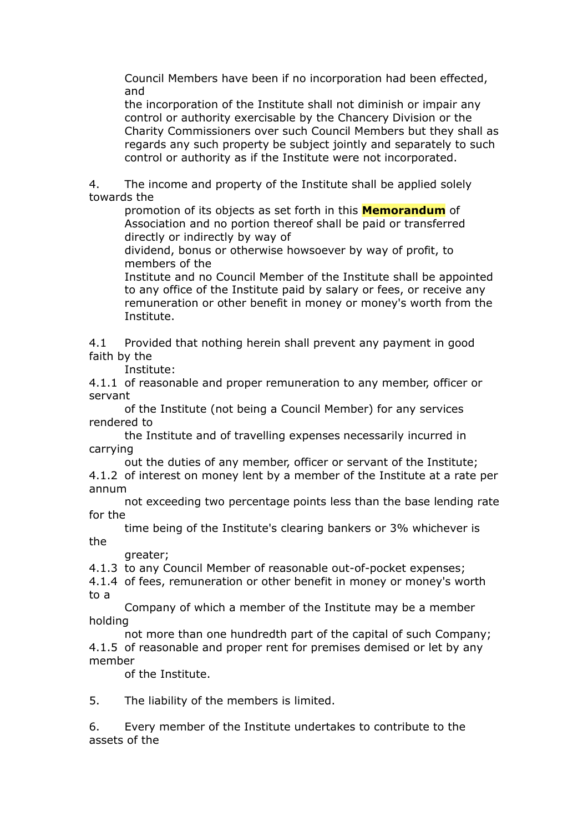Council Members have been if no incorporation had been effected, and

the incorporation of the Institute shall not diminish or impair any control or authority exercisable by the Chancery Division or the Charity Commissioners over such Council Members but they shall as regards any such property be subject jointly and separately to such control or authority as if the Institute were not incorporated.

4. The income and property of the Institute shall be applied solely towards the

promotion of its objects as set forth in this **Memorandum** of Association and no portion thereof shall be paid or transferred directly or indirectly by way of

dividend, bonus or otherwise howsoever by way of profit, to members of the

Institute and no Council Member of the Institute shall be appointed to any office of the Institute paid by salary or fees, or receive any remuneration or other benefit in money or money's worth from the Institute.

4.1 Provided that nothing herein shall prevent any payment in good faith by the

Institute:

4.1.1 of reasonable and proper remuneration to any member, officer or servant

of the Institute (not being a Council Member) for any services rendered to

the Institute and of travelling expenses necessarily incurred in carrying

out the duties of any member, officer or servant of the Institute; 4.1.2 of interest on money lent by a member of the Institute at a rate per annum

not exceeding two percentage points less than the base lending rate for the

time being of the Institute's clearing bankers or 3% whichever is the

greater;

4.1.3 to any Council Member of reasonable out-of-pocket expenses;

4.1.4 of fees, remuneration or other benefit in money or money's worth to a

Company of which a member of the Institute may be a member holding

not more than one hundredth part of the capital of such Company; 4.1.5 of reasonable and proper rent for premises demised or let by any member

of the Institute.

5. The liability of the members is limited.

6. Every member of the Institute undertakes to contribute to the assets of the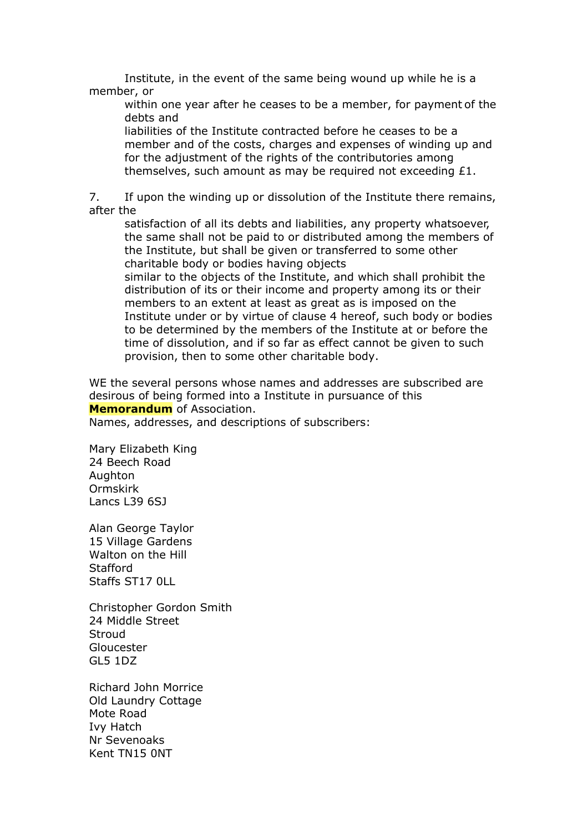Institute, in the event of the same being wound up while he is a member, or

within one year after he ceases to be a member, for payment of the debts and

liabilities of the Institute contracted before he ceases to be a member and of the costs, charges and expenses of winding up and for the adjustment of the rights of the contributories among themselves, such amount as may be required not exceeding £1.

7. If upon the winding up or dissolution of the Institute there remains, after the

satisfaction of all its debts and liabilities, any property whatsoever, the same shall not be paid to or distributed among the members of the Institute, but shall be given or transferred to some other charitable body or bodies having objects

similar to the objects of the Institute, and which shall prohibit the distribution of its or their income and property among its or their members to an extent at least as great as is imposed on the Institute under or by virtue of clause 4 hereof, such body or bodies to be determined by the members of the Institute at or before the time of dissolution, and if so far as effect cannot be given to such provision, then to some other charitable body.

WE the several persons whose names and addresses are subscribed are desirous of being formed into a Institute in pursuance of this **Memorandum** of Association.

Names, addresses, and descriptions of subscribers:

Mary Elizabeth King 24 Beech Road Aughton Ormskirk Lancs L39 6SJ

Alan George Taylor 15 Village Gardens Walton on the Hill **Stafford** Staffs ST17 0LL

Christopher Gordon Smith 24 Middle Street **Stroud** Gloucester GL5 1DZ

Richard John Morrice Old Laundry Cottage Mote Road Ivy Hatch Nr Sevenoaks Kent TN15 0NT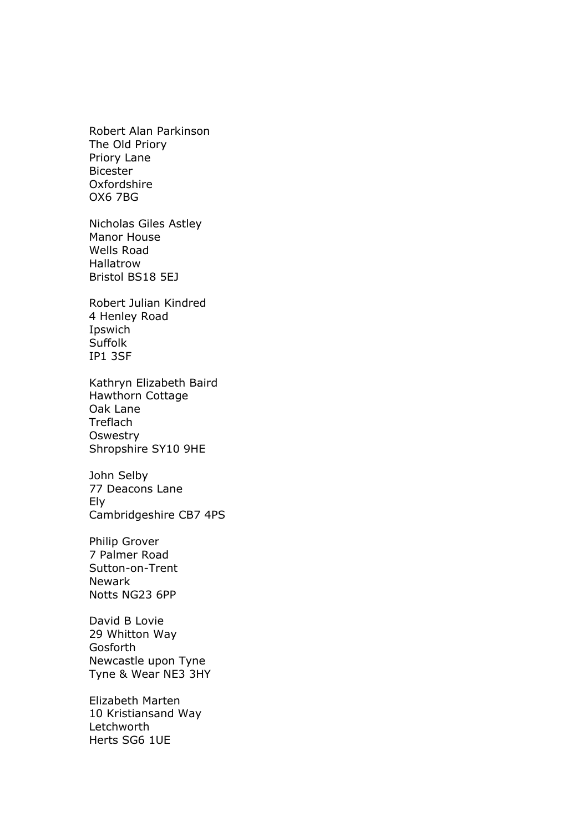Robert Alan Parkinson The Old Priory Priory Lane Bicester Oxfordshire OX6 7BG

Nicholas Giles Astley Manor House Wells Road Hallatrow Bristol BS18 5EJ

Robert Julian Kindred 4 Henley Road Ipswich Suffolk IP1 3SF

Kathryn Elizabeth Baird Hawthorn Cottage Oak Lane **Treflach Oswestry** Shropshire SY10 9HE

John Selby 77 Deacons Lane Ely Cambridgeshire CB7 4PS

Philip Grover 7 Palmer Road Sutton-on-Trent Newark Notts NG23 6PP

David B Lovie 29 Whitton Way Gosforth Newcastle upon Tyne Tyne & Wear NE3 3HY

Elizabeth Marten 10 Kristiansand Way Letchworth Herts SG6 1UE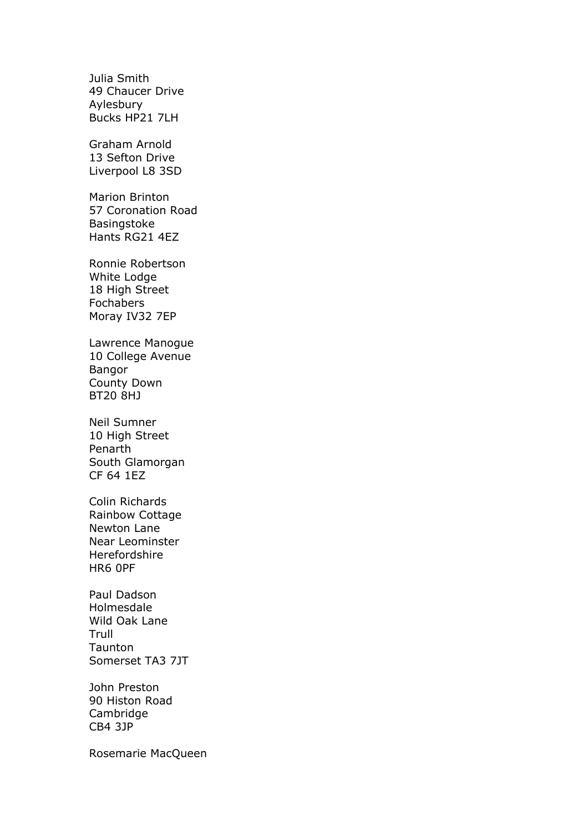Julia Smith 49 Chaucer Drive Aylesbury Bucks HP21 7LH

Graham Arnold 13 Sefton Drive Liverpool L8 3SD

Marion Brinton 57 Coronation Road Basingstoke Hants RG21 4EZ

Ronnie Robertson White Lodge 18 High Street Fochabers Moray IV32 7EP

Lawrence Manogue 10 College Avenue Bangor County Down BT20 8HJ

Neil Sumner 10 High Street Penarth South Glamorgan CF 64 1EZ

Colin Richards Rainbow Cottage Newton Lane Near Leominster Herefordshire HR6 0PF

Paul Dadson Holmesdale Wild Oak Lane Trull Taunton Somerset TA3 7JT

John Preston 90 Histon Road Cambridge CB4 3JP

Rosemarie MacQueen